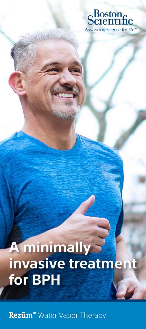

# **A** minimally invasive treatment for BPH

Rezūm<sup>™</sup> Water Vapor Therapy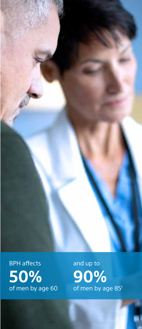

and up to **90%** of men by age 85<sup>1</sup>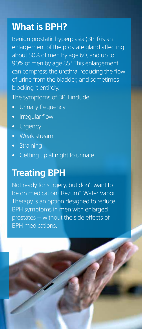# **What is BPH?**

Benign prostatic hyperplasia (BPH) is an enlargement of the prostate gland affecting about 50% of men by age 60, and up to 90% of men by age 85.<sup>1</sup> This enlargement can compress the urethra, reducing the flow of urine from the bladder, and sometimes blocking it entirely.

The symptoms of BPH include:

- Urinary frequency
- Irregular flow
- Urgency
- Weak stream
- Straining
- Getting up at night to urinate

## **Treating BPH**

Not ready for surgery, but don't want to be on medication? Rezūm™ Water Vapor Therapy is an option designed to reduce BPH symptoms in men with enlarged prostates — without the side effects of BPH medications.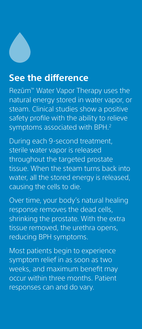# **See the difference**

Rezūm™ Water Vapor Therapy uses the natural energy stored in water vapor, or steam. Clinical studies show a positive safety profile with the ability to relieve symptoms associated with BPH.<sup>2</sup>

During each 9-second treatment, sterile water vapor is released throughout the targeted prostate tissue. When the steam turns back into water, all the stored energy is released, causing the cells to die.

Over time, your body's natural healing response removes the dead cells, shrinking the prostate. With the extra tissue removed, the urethra opens, reducing BPH symptoms.

Most patients begin to experience symptom relief in as soon as two weeks, and maximum benefit may occur within three months. Patient responses can and do vary.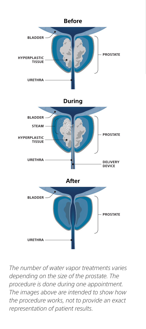

*The number of water vapor treatments varies depending on the size of the prostate. The procedure is done during one appointment. The images above are intended to show how the procedure works, not to provide an exact representation of patient results.*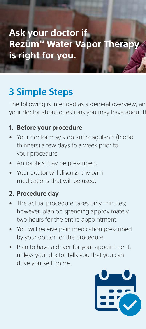# **3 Simple Steps**

The following is intended as a general overview, an your doctor about questions you may have about the

### **1. Before your procedure**

- Your doctor may stop anticoagulants (blood thinners) a few days to a week prior to your procedure.
- Antibiotics may be prescribed.
- Your doctor will discuss any pain medications that will be used.

### **2. Procedure day**

- The actual procedure takes only minutes; however, plan on spending approximately two hours for the entire appointment.
- You will receive pain medication prescribed by your doctor for the procedure.
- Plan to have a driver for your appointment, unless your doctor tells you that you can drive yourself home.

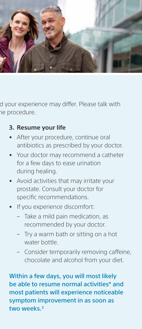

d your experience may differ. Please talk with ne procedure.

### **3. Resume your life**

- After your procedure, continue oral antibiotics as prescribed by your doctor.
- Your doctor may recommend a catheter for a few days to ease urination during healing.
- Avoid activities that may irritate your prostate. Consult your doctor for specific recommendations.
- If you experience discomfort:
	- Take a mild pain medication, as recommended by your doctor.
	- Try a warm bath or sitting on a hot water bottle.
	- Consider temporarily removing caffeine, chocolate and alcohol from your diet.

Within a few days, you will most likely be able to resume normal activities\* and most patients will experience noticeable symptom improvement in as soon as two weeks.<sup>2</sup>